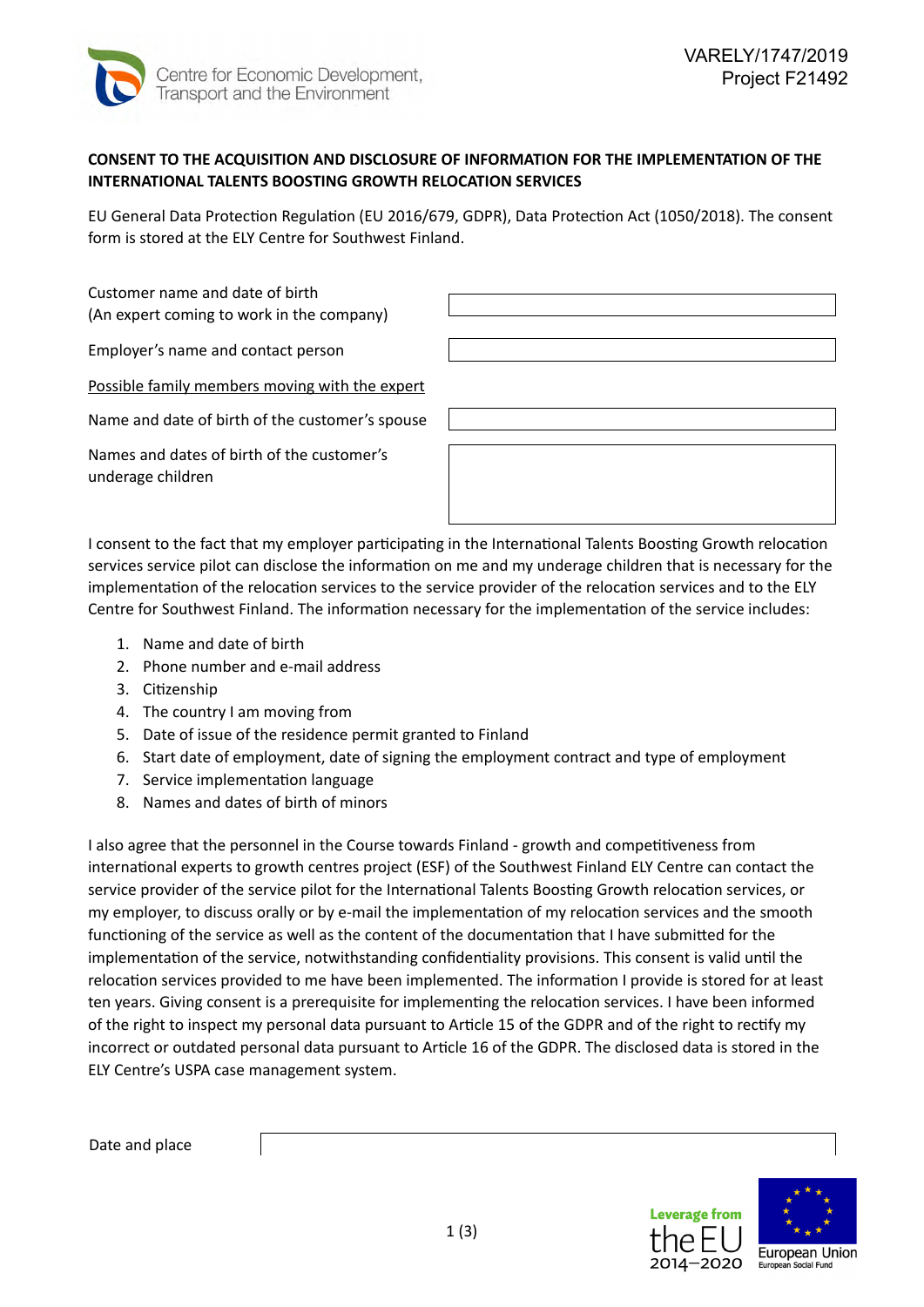

## **CONSENT TO THE ACQUISITION AND DISCLOSURE OF INFORMATION FOR THE IMPLEMENTATION OF THE INTERNATIONAL TALENTS BOOSTING GROWTH RELOCATION SERVICES**

EU General Data Protection Regulation (EU 2016/679, GDPR), Data Protection Act (1050/2018). The consent form is stored at the ELY Centre for Southwest Finland.

Customer name and date of birth (An expert coming to work in the company)

Employer's name and contact person

Possible family members moving with the expert

Name and date of birth of the customer's spouse

Names and dates of birth of the customer's underage children



I consent to the fact that my employer participating in the International Talents Boosting Growth relocation services service pilot can disclose the information on me and my underage children that is necessary for the implementation of the relocation services to the service provider of the relocation services and to the ELY Centre for Southwest Finland. The information necessary for the implementation of the service includes:

- 1. Name and date of birth
- 2. Phone number and e-mail address
- 3. Citizenship
- 4. The country I am moving from
- 5. Date of issue of the residence permit granted to Finland
- 6. Start date of employment, date of signing the employment contract and type of employment
- 7. Service implementation language
- 8. Names and dates of birth of minors

I also agree that the personnel in the Course towards Finland - growth and competitiveness from international experts to growth centres project (ESF) of the Southwest Finland ELY Centre can contact the service provider of the service pilot for the International Talents Boosting Growth relocation services, or my employer, to discuss orally or by e-mail the implementation of my relocation services and the smooth functioning of the service as well as the content of the documentation that I have submitted for the implementation of the service, notwithstanding confidentiality provisions. This consent is valid until the relocation services provided to me have been implemented. The information I provide is stored for at least ten years. Giving consent is a prerequisite for implementing the relocation services. I have been informed of the right to inspect my personal data pursuant to Article 15 of the GDPR and of the right to rectify my incorrect or outdated personal data pursuant to Article 16 of the GDPR. The disclosed data is stored in the ELY Centre's USPA case management system.

Date and place

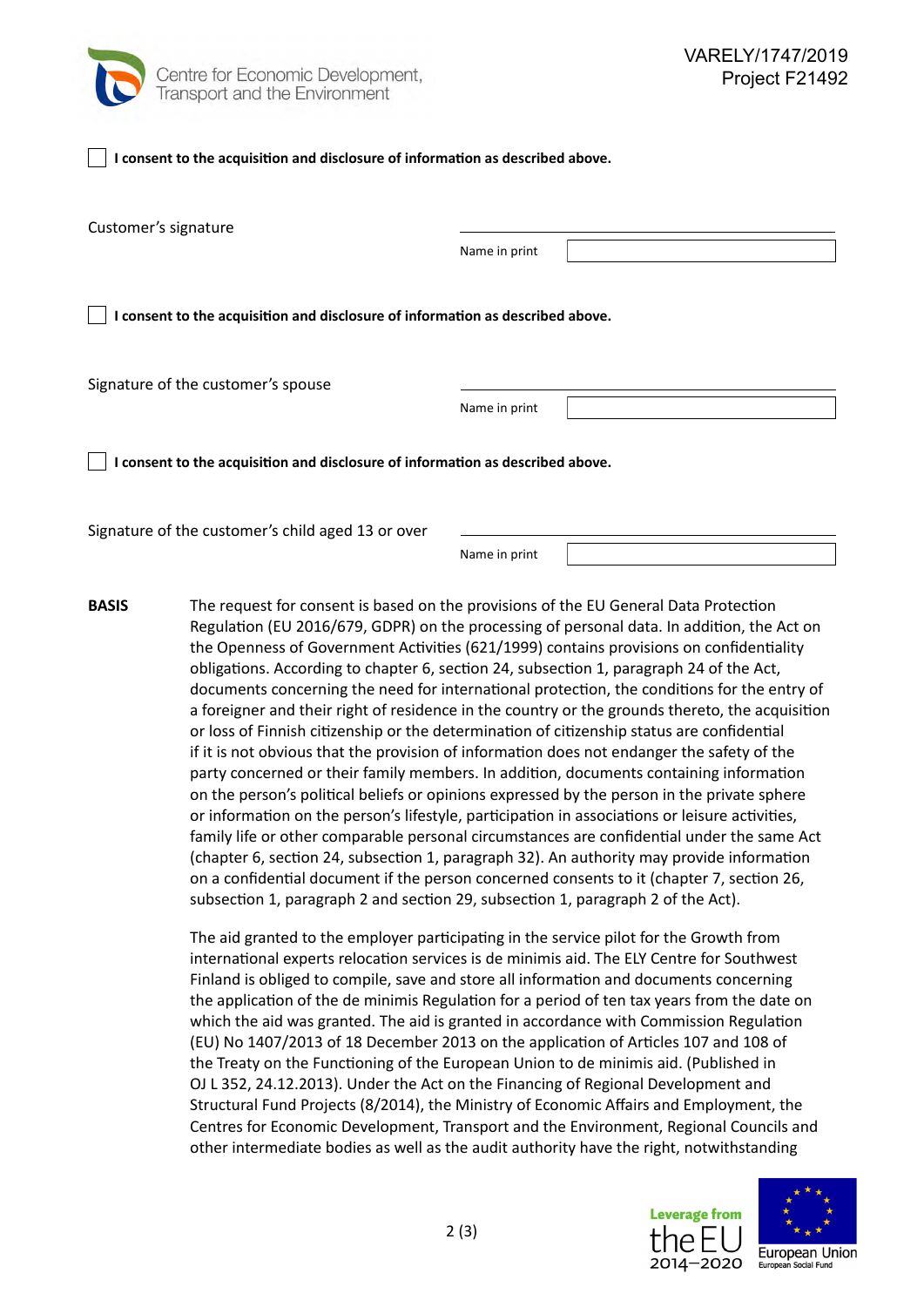

| I consent to the acquisition and disclosure of information as described above. |               |  |
|--------------------------------------------------------------------------------|---------------|--|
| Customer's signature                                                           |               |  |
|                                                                                | Name in print |  |
| I consent to the acquisition and disclosure of information as described above. |               |  |
| Signature of the customer's spouse                                             |               |  |
|                                                                                | Name in print |  |
| I consent to the acquisition and disclosure of information as described above. |               |  |
| Signature of the customer's child aged 13 or over                              |               |  |

Name in print

The request for consent is based on the provisions of the EU General Data Protection Regulation (EU 2016/679, GDPR) on the processing of personal data. In addition, the Act on the Openness of Government Activities (621/1999) contains provisions on confidentiality obligations. According to chapter 6, section 24, subsection 1, paragraph 24 of the Act, documents concerning the need for international protection, the conditions for the entry of a foreigner and their right of residence in the country or the grounds thereto, the acquisition or loss of Finnish citizenship or the determination of citizenship status are confidential if it is not obvious that the provision of information does not endanger the safety of the party concerned or their family members. In addition, documents containing information on the person's political beliefs or opinions expressed by the person in the private sphere or information on the person's lifestyle, participation in associations or leisure activities, family life or other comparable personal circumstances are confidential under the same Act (chapter 6, section 24, subsection 1, paragraph 32). An authority may provide information on a confidential document if the person concerned consents to it (chapter 7, section 26, subsection 1, paragraph 2 and section 29, subsection 1, paragraph 2 of the Act). **BASIS**

> The aid granted to the employer participating in the service pilot for the Growth from international experts relocation services is de minimis aid. The ELY Centre for Southwest Finland is obliged to compile, save and store all information and documents concerning the application of the de minimis Regulation for a period of ten tax years from the date on which the aid was granted. The aid is granted in accordance with Commission Regulation (EU) No 1407/2013 of 18 December 2013 on the application of Articles 107 and 108 of the Treaty on the Functioning of the European Union to de minimis aid. (Published in OJ L 352, 24.12.2013). Under the Act on the Financing of Regional Development and Structural Fund Projects (8/2014), the Ministry of Economic Affairs and Employment, the Centres for Economic Development, Transport and the Environment, Regional Councils and other intermediate bodies as well as the audit authority have the right, notwithstanding



ا ۱